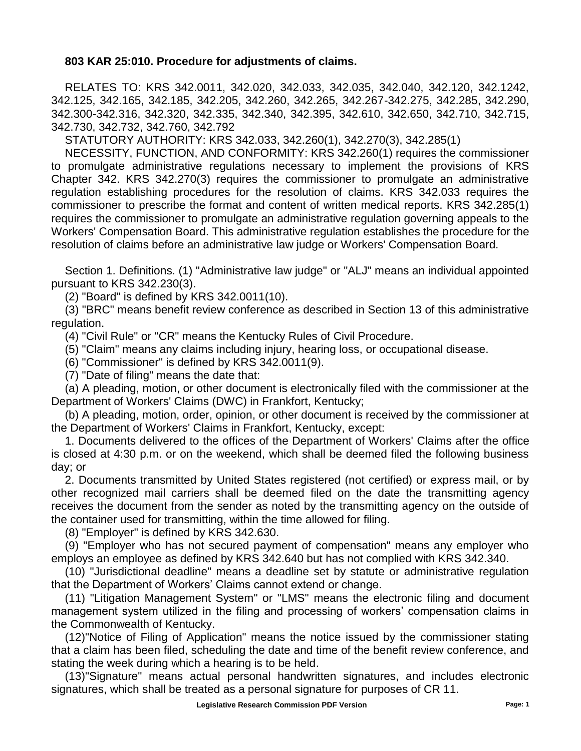## **803 KAR 25:010. Procedure for adjustments of claims.**

RELATES TO: KRS 342.0011, 342.020, 342.033, 342.035, 342.040, 342.120, 342.1242, 342.125, 342.165, 342.185, 342.205, 342.260, 342.265, 342.267-342.275, 342.285, 342.290, 342.300-342.316, 342.320, 342.335, 342.340, 342.395, 342.610, 342.650, 342.710, 342.715, 342.730, 342.732, 342.760, 342.792

STATUTORY AUTHORITY: KRS 342.033, 342.260(1), 342.270(3), 342.285(1)

NECESSITY, FUNCTION, AND CONFORMITY: KRS 342.260(1) requires the commissioner to promulgate administrative regulations necessary to implement the provisions of KRS Chapter 342. KRS 342.270(3) requires the commissioner to promulgate an administrative regulation establishing procedures for the resolution of claims. KRS 342.033 requires the commissioner to prescribe the format and content of written medical reports. KRS 342.285(1) requires the commissioner to promulgate an administrative regulation governing appeals to the Workers' Compensation Board. This administrative regulation establishes the procedure for the resolution of claims before an administrative law judge or Workers' Compensation Board.

Section 1. Definitions. (1) "Administrative law judge" or "ALJ" means an individual appointed pursuant to KRS 342.230(3).

(2) "Board" is defined by KRS 342.0011(10).

(3) "BRC" means benefit review conference as described in Section 13 of this administrative regulation.

(4) "Civil Rule" or "CR" means the Kentucky Rules of Civil Procedure.

(5) "Claim" means any claims including injury, hearing loss, or occupational disease.

(6) "Commissioner" is defined by KRS 342.0011(9).

(7) "Date of filing" means the date that:

(a) A pleading, motion, or other document is electronically filed with the commissioner at the Department of Workers' Claims (DWC) in Frankfort, Kentucky;

(b) A pleading, motion, order, opinion, or other document is received by the commissioner at the Department of Workers' Claims in Frankfort, Kentucky, except:

1. Documents delivered to the offices of the Department of Workers' Claims after the office is closed at 4:30 p.m. or on the weekend, which shall be deemed filed the following business day; or

2. Documents transmitted by United States registered (not certified) or express mail, or by other recognized mail carriers shall be deemed filed on the date the transmitting agency receives the document from the sender as noted by the transmitting agency on the outside of the container used for transmitting, within the time allowed for filing.

(8) "Employer" is defined by KRS 342.630.

(9) "Employer who has not secured payment of compensation" means any employer who employs an employee as defined by KRS 342.640 but has not complied with KRS 342.340.

(10) "Jurisdictional deadline" means a deadline set by statute or administrative regulation that the Department of Workers' Claims cannot extend or change.

(11) "Litigation Management System" or "LMS" means the electronic filing and document management system utilized in the filing and processing of workers' compensation claims in the Commonwealth of Kentucky.

(12)"Notice of Filing of Application" means the notice issued by the commissioner stating that a claim has been filed, scheduling the date and time of the benefit review conference, and stating the week during which a hearing is to be held.

(13)"Signature" means actual personal handwritten signatures, and includes electronic signatures, which shall be treated as a personal signature for purposes of CR 11.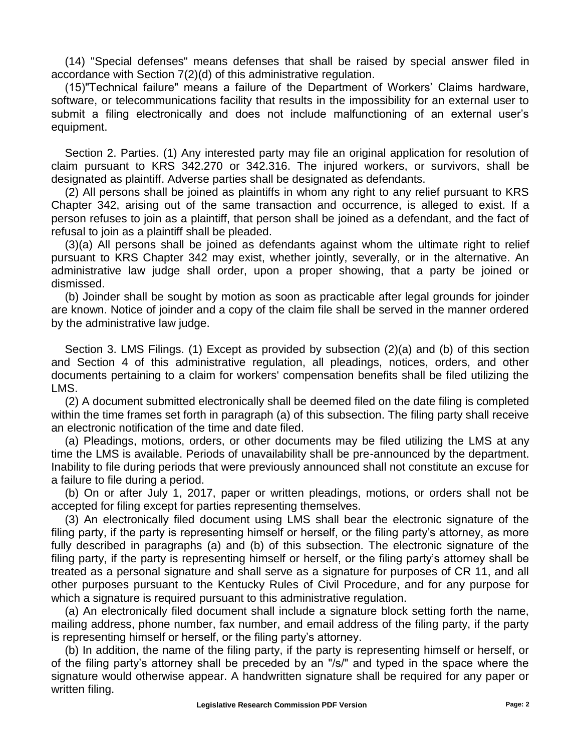(14) "Special defenses" means defenses that shall be raised by special answer filed in accordance with Section 7(2)(d) of this administrative regulation.

(15)"Technical failure" means a failure of the Department of Workers' Claims hardware, software, or telecommunications facility that results in the impossibility for an external user to submit a filing electronically and does not include malfunctioning of an external user's equipment.

Section 2. Parties. (1) Any interested party may file an original application for resolution of claim pursuant to KRS 342.270 or 342.316. The injured workers, or survivors, shall be designated as plaintiff. Adverse parties shall be designated as defendants.

(2) All persons shall be joined as plaintiffs in whom any right to any relief pursuant to KRS Chapter 342, arising out of the same transaction and occurrence, is alleged to exist. If a person refuses to join as a plaintiff, that person shall be joined as a defendant, and the fact of refusal to join as a plaintiff shall be pleaded.

(3)(a) All persons shall be joined as defendants against whom the ultimate right to relief pursuant to KRS Chapter 342 may exist, whether jointly, severally, or in the alternative. An administrative law judge shall order, upon a proper showing, that a party be joined or dismissed.

(b) Joinder shall be sought by motion as soon as practicable after legal grounds for joinder are known. Notice of joinder and a copy of the claim file shall be served in the manner ordered by the administrative law judge.

Section 3. LMS Filings. (1) Except as provided by subsection (2)(a) and (b) of this section and Section 4 of this administrative regulation, all pleadings, notices, orders, and other documents pertaining to a claim for workers' compensation benefits shall be filed utilizing the LMS.

(2) A document submitted electronically shall be deemed filed on the date filing is completed within the time frames set forth in paragraph (a) of this subsection. The filing party shall receive an electronic notification of the time and date filed.

(a) Pleadings, motions, orders, or other documents may be filed utilizing the LMS at any time the LMS is available. Periods of unavailability shall be pre-announced by the department. Inability to file during periods that were previously announced shall not constitute an excuse for a failure to file during a period.

(b) On or after July 1, 2017, paper or written pleadings, motions, or orders shall not be accepted for filing except for parties representing themselves.

(3) An electronically filed document using LMS shall bear the electronic signature of the filing party, if the party is representing himself or herself, or the filing party's attorney, as more fully described in paragraphs (a) and (b) of this subsection. The electronic signature of the filing party, if the party is representing himself or herself, or the filing party's attorney shall be treated as a personal signature and shall serve as a signature for purposes of CR 11, and all other purposes pursuant to the Kentucky Rules of Civil Procedure, and for any purpose for which a signature is required pursuant to this administrative regulation.

(a) An electronically filed document shall include a signature block setting forth the name, mailing address, phone number, fax number, and email address of the filing party, if the party is representing himself or herself, or the filing party's attorney.

(b) In addition, the name of the filing party, if the party is representing himself or herself, or of the filing party's attorney shall be preceded by an "/s/" and typed in the space where the signature would otherwise appear. A handwritten signature shall be required for any paper or written filing.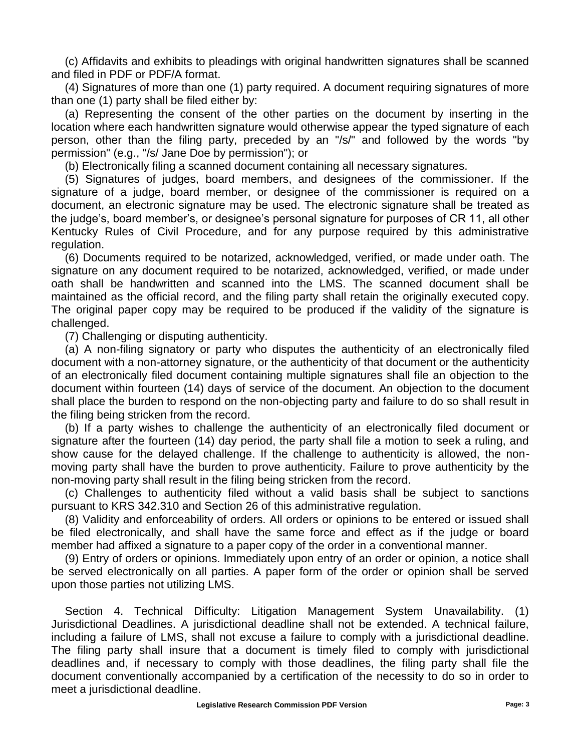(c) Affidavits and exhibits to pleadings with original handwritten signatures shall be scanned and filed in PDF or PDF/A format.

(4) Signatures of more than one (1) party required. A document requiring signatures of more than one (1) party shall be filed either by:

(a) Representing the consent of the other parties on the document by inserting in the location where each handwritten signature would otherwise appear the typed signature of each person, other than the filing party, preceded by an "/s/" and followed by the words "by permission" (e.g., "/s/ Jane Doe by permission"); or

(b) Electronically filing a scanned document containing all necessary signatures.

(5) Signatures of judges, board members, and designees of the commissioner. If the signature of a judge, board member, or designee of the commissioner is required on a document, an electronic signature may be used. The electronic signature shall be treated as the judge's, board member's, or designee's personal signature for purposes of CR 11, all other Kentucky Rules of Civil Procedure, and for any purpose required by this administrative regulation.

(6) Documents required to be notarized, acknowledged, verified, or made under oath. The signature on any document required to be notarized, acknowledged, verified, or made under oath shall be handwritten and scanned into the LMS. The scanned document shall be maintained as the official record, and the filing party shall retain the originally executed copy. The original paper copy may be required to be produced if the validity of the signature is challenged.

(7) Challenging or disputing authenticity.

(a) A non-filing signatory or party who disputes the authenticity of an electronically filed document with a non-attorney signature, or the authenticity of that document or the authenticity of an electronically filed document containing multiple signatures shall file an objection to the document within fourteen (14) days of service of the document. An objection to the document shall place the burden to respond on the non-objecting party and failure to do so shall result in the filing being stricken from the record.

(b) If a party wishes to challenge the authenticity of an electronically filed document or signature after the fourteen (14) day period, the party shall file a motion to seek a ruling, and show cause for the delayed challenge. If the challenge to authenticity is allowed, the nonmoving party shall have the burden to prove authenticity. Failure to prove authenticity by the non-moving party shall result in the filing being stricken from the record.

(c) Challenges to authenticity filed without a valid basis shall be subject to sanctions pursuant to KRS 342.310 and Section 26 of this administrative regulation.

(8) Validity and enforceability of orders. All orders or opinions to be entered or issued shall be filed electronically, and shall have the same force and effect as if the judge or board member had affixed a signature to a paper copy of the order in a conventional manner.

(9) Entry of orders or opinions. Immediately upon entry of an order or opinion, a notice shall be served electronically on all parties. A paper form of the order or opinion shall be served upon those parties not utilizing LMS.

Section 4. Technical Difficulty: Litigation Management System Unavailability. (1) Jurisdictional Deadlines. A jurisdictional deadline shall not be extended. A technical failure, including a failure of LMS, shall not excuse a failure to comply with a jurisdictional deadline. The filing party shall insure that a document is timely filed to comply with jurisdictional deadlines and, if necessary to comply with those deadlines, the filing party shall file the document conventionally accompanied by a certification of the necessity to do so in order to meet a jurisdictional deadline.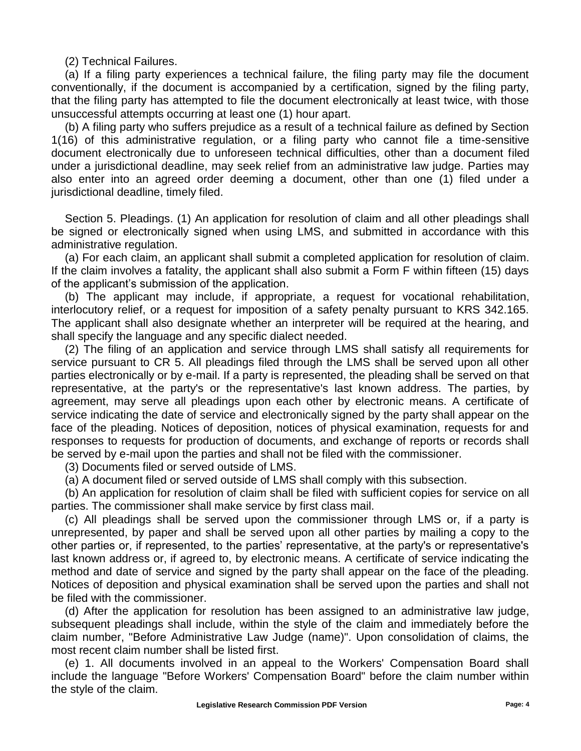(2) Technical Failures.

(a) If a filing party experiences a technical failure, the filing party may file the document conventionally, if the document is accompanied by a certification, signed by the filing party, that the filing party has attempted to file the document electronically at least twice, with those unsuccessful attempts occurring at least one (1) hour apart.

(b) A filing party who suffers prejudice as a result of a technical failure as defined by Section 1(16) of this administrative regulation, or a filing party who cannot file a time-sensitive document electronically due to unforeseen technical difficulties, other than a document filed under a jurisdictional deadline, may seek relief from an administrative law judge. Parties may also enter into an agreed order deeming a document, other than one (1) filed under a jurisdictional deadline, timely filed.

Section 5. Pleadings. (1) An application for resolution of claim and all other pleadings shall be signed or electronically signed when using LMS, and submitted in accordance with this administrative regulation.

(a) For each claim, an applicant shall submit a completed application for resolution of claim. If the claim involves a fatality, the applicant shall also submit a Form F within fifteen (15) days of the applicant's submission of the application.

(b) The applicant may include, if appropriate, a request for vocational rehabilitation, interlocutory relief, or a request for imposition of a safety penalty pursuant to KRS 342.165. The applicant shall also designate whether an interpreter will be required at the hearing, and shall specify the language and any specific dialect needed.

(2) The filing of an application and service through LMS shall satisfy all requirements for service pursuant to CR 5. All pleadings filed through the LMS shall be served upon all other parties electronically or by e-mail. If a party is represented, the pleading shall be served on that representative, at the party's or the representative's last known address. The parties, by agreement, may serve all pleadings upon each other by electronic means. A certificate of service indicating the date of service and electronically signed by the party shall appear on the face of the pleading. Notices of deposition, notices of physical examination, requests for and responses to requests for production of documents, and exchange of reports or records shall be served by e-mail upon the parties and shall not be filed with the commissioner.

(3) Documents filed or served outside of LMS.

(a) A document filed or served outside of LMS shall comply with this subsection.

(b) An application for resolution of claim shall be filed with sufficient copies for service on all parties. The commissioner shall make service by first class mail.

(c) All pleadings shall be served upon the commissioner through LMS or, if a party is unrepresented, by paper and shall be served upon all other parties by mailing a copy to the other parties or, if represented, to the parties' representative, at the party's or representative's last known address or, if agreed to, by electronic means. A certificate of service indicating the method and date of service and signed by the party shall appear on the face of the pleading. Notices of deposition and physical examination shall be served upon the parties and shall not be filed with the commissioner.

(d) After the application for resolution has been assigned to an administrative law judge, subsequent pleadings shall include, within the style of the claim and immediately before the claim number, "Before Administrative Law Judge (name)". Upon consolidation of claims, the most recent claim number shall be listed first.

(e) 1. All documents involved in an appeal to the Workers' Compensation Board shall include the language "Before Workers' Compensation Board" before the claim number within the style of the claim.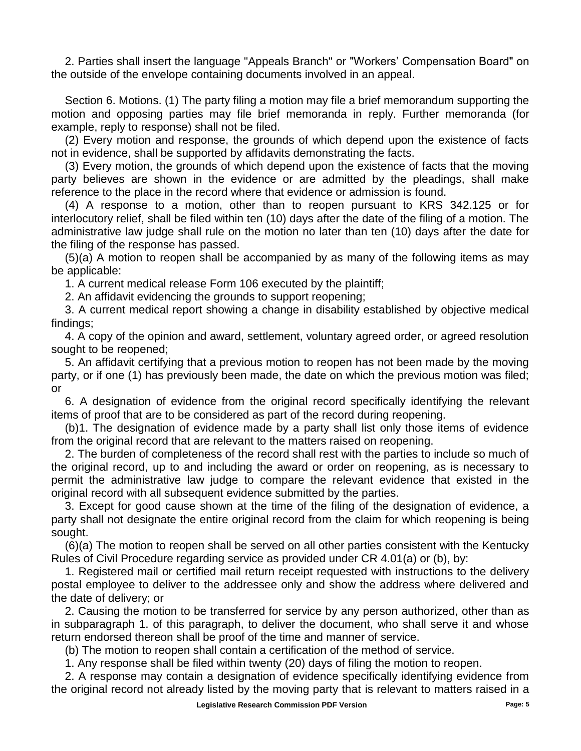2. Parties shall insert the language "Appeals Branch" or "Workers' Compensation Board" on the outside of the envelope containing documents involved in an appeal.

Section 6. Motions. (1) The party filing a motion may file a brief memorandum supporting the motion and opposing parties may file brief memoranda in reply. Further memoranda (for example, reply to response) shall not be filed.

(2) Every motion and response, the grounds of which depend upon the existence of facts not in evidence, shall be supported by affidavits demonstrating the facts.

(3) Every motion, the grounds of which depend upon the existence of facts that the moving party believes are shown in the evidence or are admitted by the pleadings, shall make reference to the place in the record where that evidence or admission is found.

(4) A response to a motion, other than to reopen pursuant to KRS 342.125 or for interlocutory relief, shall be filed within ten (10) days after the date of the filing of a motion. The administrative law judge shall rule on the motion no later than ten (10) days after the date for the filing of the response has passed.

(5)(a) A motion to reopen shall be accompanied by as many of the following items as may be applicable:

1. A current medical release Form 106 executed by the plaintiff;

2. An affidavit evidencing the grounds to support reopening;

3. A current medical report showing a change in disability established by objective medical findings;

4. A copy of the opinion and award, settlement, voluntary agreed order, or agreed resolution sought to be reopened;

5. An affidavit certifying that a previous motion to reopen has not been made by the moving party, or if one (1) has previously been made, the date on which the previous motion was filed; or

6. A designation of evidence from the original record specifically identifying the relevant items of proof that are to be considered as part of the record during reopening.

(b)1. The designation of evidence made by a party shall list only those items of evidence from the original record that are relevant to the matters raised on reopening.

2. The burden of completeness of the record shall rest with the parties to include so much of the original record, up to and including the award or order on reopening, as is necessary to permit the administrative law judge to compare the relevant evidence that existed in the original record with all subsequent evidence submitted by the parties.

3. Except for good cause shown at the time of the filing of the designation of evidence, a party shall not designate the entire original record from the claim for which reopening is being sought.

(6)(a) The motion to reopen shall be served on all other parties consistent with the Kentucky Rules of Civil Procedure regarding service as provided under CR 4.01(a) or (b), by:

1. Registered mail or certified mail return receipt requested with instructions to the delivery postal employee to deliver to the addressee only and show the address where delivered and the date of delivery; or

2. Causing the motion to be transferred for service by any person authorized, other than as in subparagraph 1. of this paragraph, to deliver the document, who shall serve it and whose return endorsed thereon shall be proof of the time and manner of service.

(b) The motion to reopen shall contain a certification of the method of service.

1. Any response shall be filed within twenty (20) days of filing the motion to reopen.

2. A response may contain a designation of evidence specifically identifying evidence from the original record not already listed by the moving party that is relevant to matters raised in a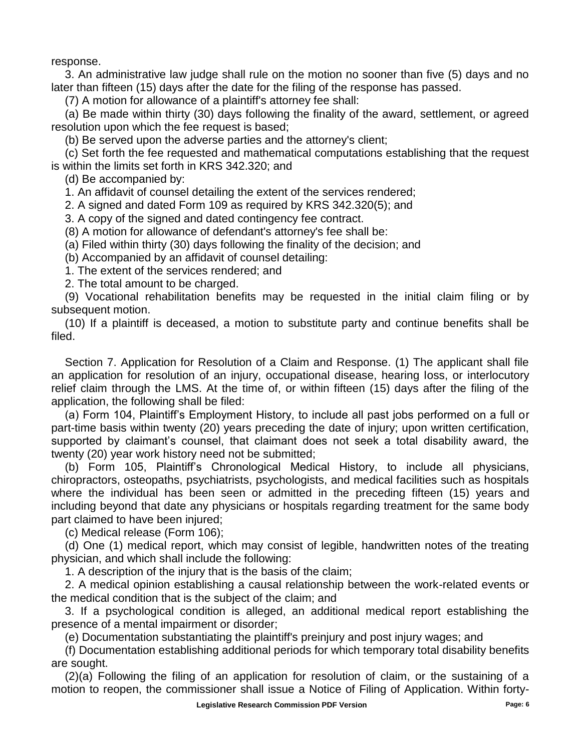response.

3. An administrative law judge shall rule on the motion no sooner than five (5) days and no later than fifteen (15) days after the date for the filing of the response has passed.

(7) A motion for allowance of a plaintiff's attorney fee shall:

(a) Be made within thirty (30) days following the finality of the award, settlement, or agreed resolution upon which the fee request is based;

(b) Be served upon the adverse parties and the attorney's client;

(c) Set forth the fee requested and mathematical computations establishing that the request is within the limits set forth in KRS 342.320; and

(d) Be accompanied by:

1. An affidavit of counsel detailing the extent of the services rendered;

2. A signed and dated Form 109 as required by KRS 342.320(5); and

3. A copy of the signed and dated contingency fee contract.

(8) A motion for allowance of defendant's attorney's fee shall be:

(a) Filed within thirty (30) days following the finality of the decision; and

(b) Accompanied by an affidavit of counsel detailing:

1. The extent of the services rendered; and

2. The total amount to be charged.

(9) Vocational rehabilitation benefits may be requested in the initial claim filing or by subsequent motion.

(10) If a plaintiff is deceased, a motion to substitute party and continue benefits shall be filed.

Section 7. Application for Resolution of a Claim and Response. (1) The applicant shall file an application for resolution of an injury, occupational disease, hearing loss, or interlocutory relief claim through the LMS. At the time of, or within fifteen (15) days after the filing of the application, the following shall be filed:

(a) Form 104, Plaintiff's Employment History, to include all past jobs performed on a full or part-time basis within twenty (20) years preceding the date of injury; upon written certification, supported by claimant's counsel, that claimant does not seek a total disability award, the twenty (20) year work history need not be submitted;

(b) Form 105, Plaintiff's Chronological Medical History, to include all physicians, chiropractors, osteopaths, psychiatrists, psychologists, and medical facilities such as hospitals where the individual has been seen or admitted in the preceding fifteen (15) years and including beyond that date any physicians or hospitals regarding treatment for the same body part claimed to have been injured;

(c) Medical release (Form 106);

(d) One (1) medical report, which may consist of legible, handwritten notes of the treating physician, and which shall include the following:

1. A description of the injury that is the basis of the claim;

2. A medical opinion establishing a causal relationship between the work-related events or the medical condition that is the subject of the claim; and

3. If a psychological condition is alleged, an additional medical report establishing the presence of a mental impairment or disorder;

(e) Documentation substantiating the plaintiff's preinjury and post injury wages; and

(f) Documentation establishing additional periods for which temporary total disability benefits are sought.

(2)(a) Following the filing of an application for resolution of claim, or the sustaining of a motion to reopen, the commissioner shall issue a Notice of Filing of Application. Within forty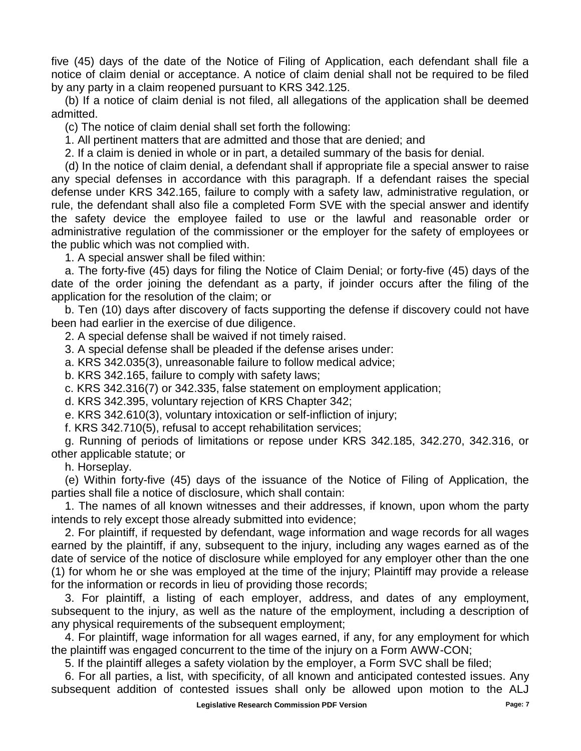five (45) days of the date of the Notice of Filing of Application, each defendant shall file a notice of claim denial or acceptance. A notice of claim denial shall not be required to be filed by any party in a claim reopened pursuant to KRS 342.125.

(b) If a notice of claim denial is not filed, all allegations of the application shall be deemed admitted.

(c) The notice of claim denial shall set forth the following:

1. All pertinent matters that are admitted and those that are denied; and

2. If a claim is denied in whole or in part, a detailed summary of the basis for denial.

(d) In the notice of claim denial, a defendant shall if appropriate file a special answer to raise any special defenses in accordance with this paragraph. If a defendant raises the special defense under KRS 342.165, failure to comply with a safety law, administrative regulation, or rule, the defendant shall also file a completed Form SVE with the special answer and identify the safety device the employee failed to use or the lawful and reasonable order or administrative regulation of the commissioner or the employer for the safety of employees or the public which was not complied with.

1. A special answer shall be filed within:

a. The forty-five (45) days for filing the Notice of Claim Denial; or forty-five (45) days of the date of the order joining the defendant as a party, if joinder occurs after the filing of the application for the resolution of the claim; or

b. Ten (10) days after discovery of facts supporting the defense if discovery could not have been had earlier in the exercise of due diligence.

2. A special defense shall be waived if not timely raised.

3. A special defense shall be pleaded if the defense arises under:

a. KRS 342.035(3), unreasonable failure to follow medical advice;

b. KRS 342.165, failure to comply with safety laws;

c. KRS 342.316(7) or 342.335, false statement on employment application;

d. KRS 342.395, voluntary rejection of KRS Chapter 342;

e. KRS 342.610(3), voluntary intoxication or self-infliction of injury;

f. KRS 342.710(5), refusal to accept rehabilitation services;

g. Running of periods of limitations or repose under KRS 342.185, 342.270, 342.316, or other applicable statute; or

h. Horseplay.

(e) Within forty-five (45) days of the issuance of the Notice of Filing of Application, the parties shall file a notice of disclosure, which shall contain:

1. The names of all known witnesses and their addresses, if known, upon whom the party intends to rely except those already submitted into evidence;

2. For plaintiff, if requested by defendant, wage information and wage records for all wages earned by the plaintiff, if any, subsequent to the injury, including any wages earned as of the date of service of the notice of disclosure while employed for any employer other than the one (1) for whom he or she was employed at the time of the injury; Plaintiff may provide a release for the information or records in lieu of providing those records;

3. For plaintiff, a listing of each employer, address, and dates of any employment, subsequent to the injury, as well as the nature of the employment, including a description of any physical requirements of the subsequent employment;

4. For plaintiff, wage information for all wages earned, if any, for any employment for which the plaintiff was engaged concurrent to the time of the injury on a Form AWW-CON;

5. If the plaintiff alleges a safety violation by the employer, a Form SVC shall be filed;

6. For all parties, a list, with specificity, of all known and anticipated contested issues. Any subsequent addition of contested issues shall only be allowed upon motion to the ALJ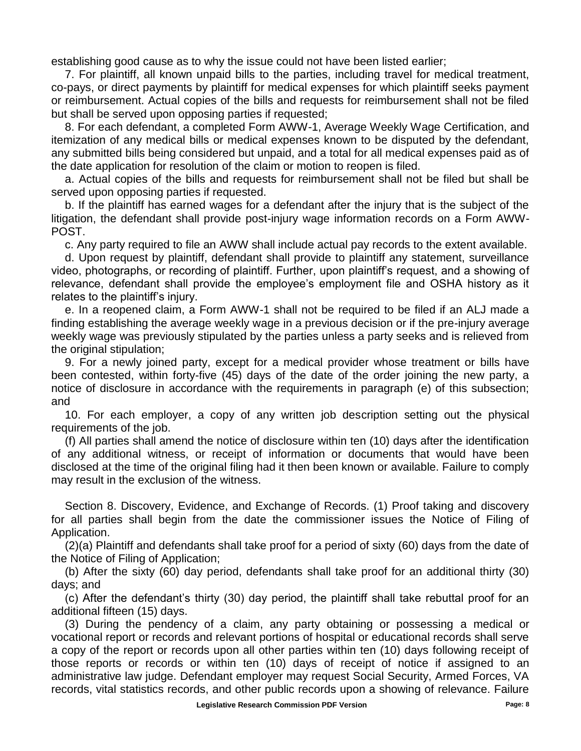establishing good cause as to why the issue could not have been listed earlier;

7. For plaintiff, all known unpaid bills to the parties, including travel for medical treatment, co-pays, or direct payments by plaintiff for medical expenses for which plaintiff seeks payment or reimbursement. Actual copies of the bills and requests for reimbursement shall not be filed but shall be served upon opposing parties if requested;

8. For each defendant, a completed Form AWW-1, Average Weekly Wage Certification, and itemization of any medical bills or medical expenses known to be disputed by the defendant, any submitted bills being considered but unpaid, and a total for all medical expenses paid as of the date application for resolution of the claim or motion to reopen is filed.

a. Actual copies of the bills and requests for reimbursement shall not be filed but shall be served upon opposing parties if requested.

b. If the plaintiff has earned wages for a defendant after the injury that is the subject of the litigation, the defendant shall provide post-injury wage information records on a Form AWW-POST.

c. Any party required to file an AWW shall include actual pay records to the extent available.

d. Upon request by plaintiff, defendant shall provide to plaintiff any statement, surveillance video, photographs, or recording of plaintiff. Further, upon plaintiff's request, and a showing of relevance, defendant shall provide the employee's employment file and OSHA history as it relates to the plaintiff's injury.

e. In a reopened claim, a Form AWW-1 shall not be required to be filed if an ALJ made a finding establishing the average weekly wage in a previous decision or if the pre-injury average weekly wage was previously stipulated by the parties unless a party seeks and is relieved from the original stipulation;

9. For a newly joined party, except for a medical provider whose treatment or bills have been contested, within forty-five (45) days of the date of the order joining the new party, a notice of disclosure in accordance with the requirements in paragraph (e) of this subsection; and

10. For each employer, a copy of any written job description setting out the physical requirements of the job.

(f) All parties shall amend the notice of disclosure within ten (10) days after the identification of any additional witness, or receipt of information or documents that would have been disclosed at the time of the original filing had it then been known or available. Failure to comply may result in the exclusion of the witness.

Section 8. Discovery, Evidence, and Exchange of Records. (1) Proof taking and discovery for all parties shall begin from the date the commissioner issues the Notice of Filing of Application.

(2)(a) Plaintiff and defendants shall take proof for a period of sixty (60) days from the date of the Notice of Filing of Application;

(b) After the sixty (60) day period, defendants shall take proof for an additional thirty (30) days; and

(c) After the defendant's thirty (30) day period, the plaintiff shall take rebuttal proof for an additional fifteen (15) days.

(3) During the pendency of a claim, any party obtaining or possessing a medical or vocational report or records and relevant portions of hospital or educational records shall serve a copy of the report or records upon all other parties within ten (10) days following receipt of those reports or records or within ten (10) days of receipt of notice if assigned to an administrative law judge. Defendant employer may request Social Security, Armed Forces, VA records, vital statistics records, and other public records upon a showing of relevance. Failure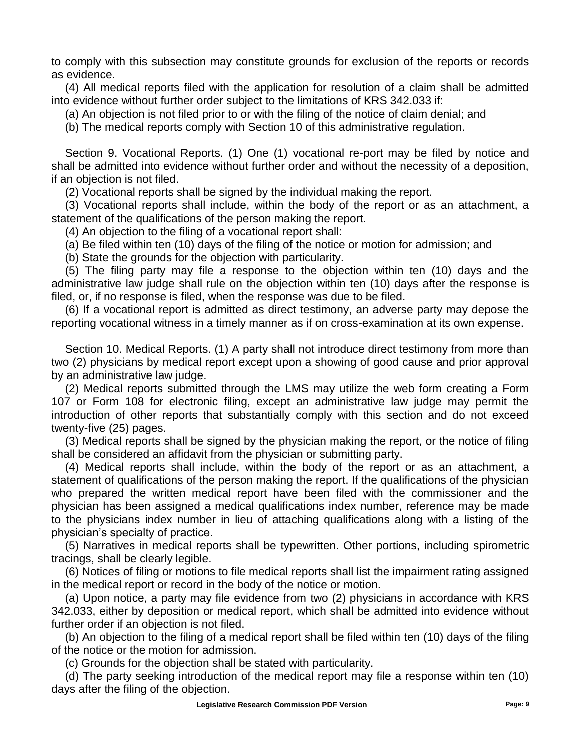to comply with this subsection may constitute grounds for exclusion of the reports or records as evidence.

(4) All medical reports filed with the application for resolution of a claim shall be admitted into evidence without further order subject to the limitations of KRS 342.033 if:

(a) An objection is not filed prior to or with the filing of the notice of claim denial; and

(b) The medical reports comply with Section 10 of this administrative regulation.

Section 9. Vocational Reports. (1) One (1) vocational re-port may be filed by notice and shall be admitted into evidence without further order and without the necessity of a deposition, if an objection is not filed.

(2) Vocational reports shall be signed by the individual making the report.

(3) Vocational reports shall include, within the body of the report or as an attachment, a statement of the qualifications of the person making the report.

(4) An objection to the filing of a vocational report shall:

(a) Be filed within ten (10) days of the filing of the notice or motion for admission; and

(b) State the grounds for the objection with particularity.

(5) The filing party may file a response to the objection within ten (10) days and the administrative law judge shall rule on the objection within ten (10) days after the response is filed, or, if no response is filed, when the response was due to be filed.

(6) If a vocational report is admitted as direct testimony, an adverse party may depose the reporting vocational witness in a timely manner as if on cross-examination at its own expense.

Section 10. Medical Reports. (1) A party shall not introduce direct testimony from more than two (2) physicians by medical report except upon a showing of good cause and prior approval by an administrative law judge.

(2) Medical reports submitted through the LMS may utilize the web form creating a Form 107 or Form 108 for electronic filing, except an administrative law judge may permit the introduction of other reports that substantially comply with this section and do not exceed twenty-five (25) pages.

(3) Medical reports shall be signed by the physician making the report, or the notice of filing shall be considered an affidavit from the physician or submitting party.

(4) Medical reports shall include, within the body of the report or as an attachment, a statement of qualifications of the person making the report. If the qualifications of the physician who prepared the written medical report have been filed with the commissioner and the physician has been assigned a medical qualifications index number, reference may be made to the physicians index number in lieu of attaching qualifications along with a listing of the physician's specialty of practice.

(5) Narratives in medical reports shall be typewritten. Other portions, including spirometric tracings, shall be clearly legible.

(6) Notices of filing or motions to file medical reports shall list the impairment rating assigned in the medical report or record in the body of the notice or motion.

(a) Upon notice, a party may file evidence from two (2) physicians in accordance with KRS 342.033, either by deposition or medical report, which shall be admitted into evidence without further order if an objection is not filed.

(b) An objection to the filing of a medical report shall be filed within ten (10) days of the filing of the notice or the motion for admission.

(c) Grounds for the objection shall be stated with particularity.

(d) The party seeking introduction of the medical report may file a response within ten (10) days after the filing of the objection.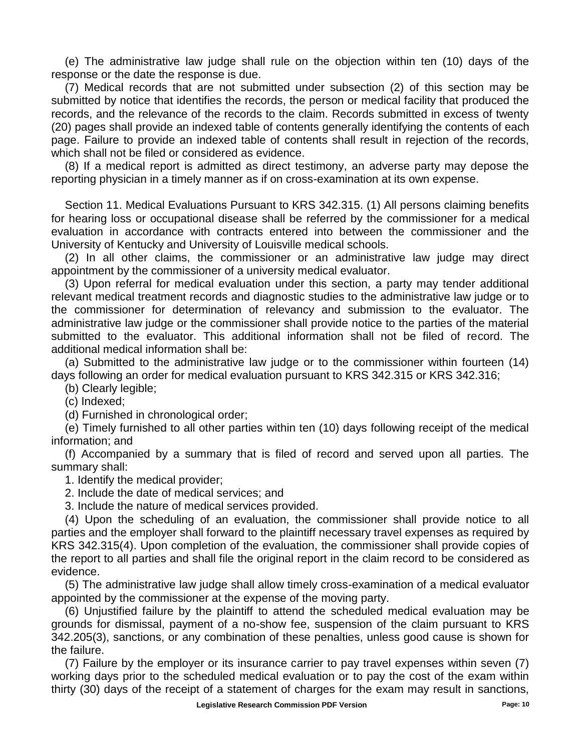(e) The administrative law judge shall rule on the objection within ten (10) days of the response or the date the response is due.

(7) Medical records that are not submitted under subsection (2) of this section may be submitted by notice that identifies the records, the person or medical facility that produced the records, and the relevance of the records to the claim. Records submitted in excess of twenty (20) pages shall provide an indexed table of contents generally identifying the contents of each page. Failure to provide an indexed table of contents shall result in rejection of the records, which shall not be filed or considered as evidence.

(8) If a medical report is admitted as direct testimony, an adverse party may depose the reporting physician in a timely manner as if on cross-examination at its own expense.

Section 11. Medical Evaluations Pursuant to KRS 342.315. (1) All persons claiming benefits for hearing loss or occupational disease shall be referred by the commissioner for a medical evaluation in accordance with contracts entered into between the commissioner and the University of Kentucky and University of Louisville medical schools.

(2) In all other claims, the commissioner or an administrative law judge may direct appointment by the commissioner of a university medical evaluator.

(3) Upon referral for medical evaluation under this section, a party may tender additional relevant medical treatment records and diagnostic studies to the administrative law judge or to the commissioner for determination of relevancy and submission to the evaluator. The administrative law judge or the commissioner shall provide notice to the parties of the material submitted to the evaluator. This additional information shall not be filed of record. The additional medical information shall be:

(a) Submitted to the administrative law judge or to the commissioner within fourteen (14) days following an order for medical evaluation pursuant to KRS 342.315 or KRS 342.316;

(b) Clearly legible;

(c) Indexed;

(d) Furnished in chronological order;

(e) Timely furnished to all other parties within ten (10) days following receipt of the medical information; and

(f) Accompanied by a summary that is filed of record and served upon all parties. The summary shall:

1. Identify the medical provider;

2. Include the date of medical services; and

3. Include the nature of medical services provided.

(4) Upon the scheduling of an evaluation, the commissioner shall provide notice to all parties and the employer shall forward to the plaintiff necessary travel expenses as required by KRS 342.315(4). Upon completion of the evaluation, the commissioner shall provide copies of the report to all parties and shall file the original report in the claim record to be considered as evidence.

(5) The administrative law judge shall allow timely cross-examination of a medical evaluator appointed by the commissioner at the expense of the moving party.

(6) Unjustified failure by the plaintiff to attend the scheduled medical evaluation may be grounds for dismissal, payment of a no-show fee, suspension of the claim pursuant to KRS 342.205(3), sanctions, or any combination of these penalties, unless good cause is shown for the failure.

(7) Failure by the employer or its insurance carrier to pay travel expenses within seven (7) working days prior to the scheduled medical evaluation or to pay the cost of the exam within thirty (30) days of the receipt of a statement of charges for the exam may result in sanctions,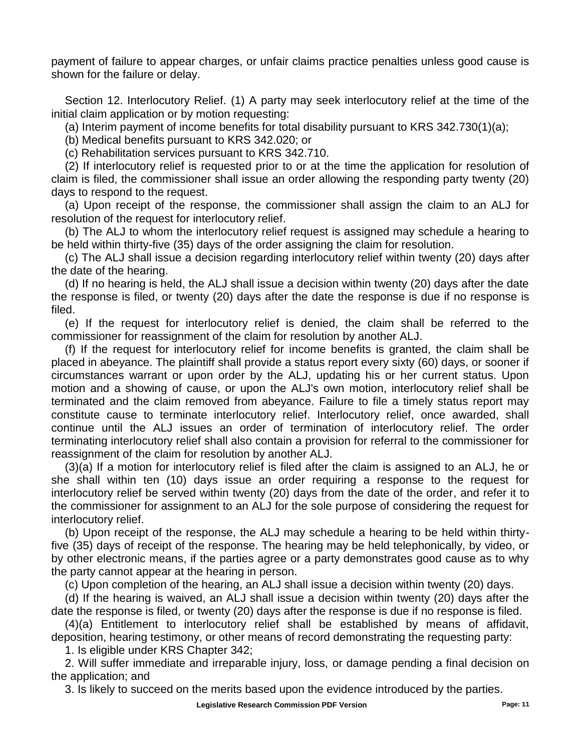payment of failure to appear charges, or unfair claims practice penalties unless good cause is shown for the failure or delay.

Section 12. Interlocutory Relief. (1) A party may seek interlocutory relief at the time of the initial claim application or by motion requesting:

(a) Interim payment of income benefits for total disability pursuant to KRS 342.730(1)(a);

(b) Medical benefits pursuant to KRS 342.020; or

(c) Rehabilitation services pursuant to KRS 342.710.

(2) If interlocutory relief is requested prior to or at the time the application for resolution of claim is filed, the commissioner shall issue an order allowing the responding party twenty (20) days to respond to the request.

(a) Upon receipt of the response, the commissioner shall assign the claim to an ALJ for resolution of the request for interlocutory relief.

(b) The ALJ to whom the interlocutory relief request is assigned may schedule a hearing to be held within thirty-five (35) days of the order assigning the claim for resolution.

(c) The ALJ shall issue a decision regarding interlocutory relief within twenty (20) days after the date of the hearing.

(d) If no hearing is held, the ALJ shall issue a decision within twenty (20) days after the date the response is filed, or twenty (20) days after the date the response is due if no response is filed.

(e) If the request for interlocutory relief is denied, the claim shall be referred to the commissioner for reassignment of the claim for resolution by another ALJ.

(f) If the request for interlocutory relief for income benefits is granted, the claim shall be placed in abeyance. The plaintiff shall provide a status report every sixty (60) days, or sooner if circumstances warrant or upon order by the ALJ, updating his or her current status. Upon motion and a showing of cause, or upon the ALJ's own motion, interlocutory relief shall be terminated and the claim removed from abeyance. Failure to file a timely status report may constitute cause to terminate interlocutory relief. Interlocutory relief, once awarded, shall continue until the ALJ issues an order of termination of interlocutory relief. The order terminating interlocutory relief shall also contain a provision for referral to the commissioner for reassignment of the claim for resolution by another ALJ.

(3)(a) If a motion for interlocutory relief is filed after the claim is assigned to an ALJ, he or she shall within ten (10) days issue an order requiring a response to the request for interlocutory relief be served within twenty (20) days from the date of the order, and refer it to the commissioner for assignment to an ALJ for the sole purpose of considering the request for interlocutory relief.

(b) Upon receipt of the response, the ALJ may schedule a hearing to be held within thirtyfive (35) days of receipt of the response. The hearing may be held telephonically, by video, or by other electronic means, if the parties agree or a party demonstrates good cause as to why the party cannot appear at the hearing in person.

(c) Upon completion of the hearing, an ALJ shall issue a decision within twenty (20) days.

(d) If the hearing is waived, an ALJ shall issue a decision within twenty (20) days after the date the response is filed, or twenty (20) days after the response is due if no response is filed.

(4)(a) Entitlement to interlocutory relief shall be established by means of affidavit, deposition, hearing testimony, or other means of record demonstrating the requesting party:

1. Is eligible under KRS Chapter 342;

2. Will suffer immediate and irreparable injury, loss, or damage pending a final decision on the application; and

3. Is likely to succeed on the merits based upon the evidence introduced by the parties.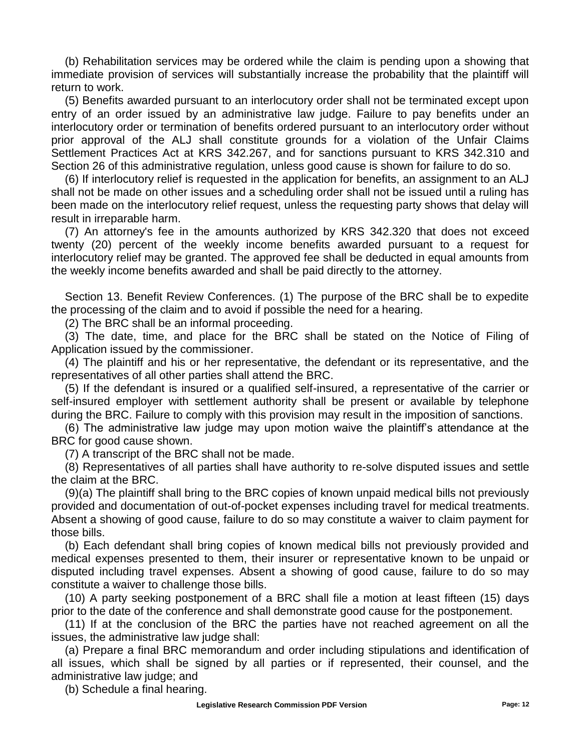(b) Rehabilitation services may be ordered while the claim is pending upon a showing that immediate provision of services will substantially increase the probability that the plaintiff will return to work.

(5) Benefits awarded pursuant to an interlocutory order shall not be terminated except upon entry of an order issued by an administrative law judge. Failure to pay benefits under an interlocutory order or termination of benefits ordered pursuant to an interlocutory order without prior approval of the ALJ shall constitute grounds for a violation of the Unfair Claims Settlement Practices Act at KRS 342.267, and for sanctions pursuant to KRS 342.310 and Section 26 of this administrative regulation, unless good cause is shown for failure to do so.

(6) If interlocutory relief is requested in the application for benefits, an assignment to an ALJ shall not be made on other issues and a scheduling order shall not be issued until a ruling has been made on the interlocutory relief request, unless the requesting party shows that delay will result in irreparable harm.

(7) An attorney's fee in the amounts authorized by KRS 342.320 that does not exceed twenty (20) percent of the weekly income benefits awarded pursuant to a request for interlocutory relief may be granted. The approved fee shall be deducted in equal amounts from the weekly income benefits awarded and shall be paid directly to the attorney.

Section 13. Benefit Review Conferences. (1) The purpose of the BRC shall be to expedite the processing of the claim and to avoid if possible the need for a hearing.

(2) The BRC shall be an informal proceeding.

(3) The date, time, and place for the BRC shall be stated on the Notice of Filing of Application issued by the commissioner.

(4) The plaintiff and his or her representative, the defendant or its representative, and the representatives of all other parties shall attend the BRC.

(5) If the defendant is insured or a qualified self-insured, a representative of the carrier or self-insured employer with settlement authority shall be present or available by telephone during the BRC. Failure to comply with this provision may result in the imposition of sanctions.

(6) The administrative law judge may upon motion waive the plaintiff's attendance at the BRC for good cause shown.

(7) A transcript of the BRC shall not be made.

(8) Representatives of all parties shall have authority to re-solve disputed issues and settle the claim at the BRC.

(9)(a) The plaintiff shall bring to the BRC copies of known unpaid medical bills not previously provided and documentation of out-of-pocket expenses including travel for medical treatments. Absent a showing of good cause, failure to do so may constitute a waiver to claim payment for those bills.

(b) Each defendant shall bring copies of known medical bills not previously provided and medical expenses presented to them, their insurer or representative known to be unpaid or disputed including travel expenses. Absent a showing of good cause, failure to do so may constitute a waiver to challenge those bills.

(10) A party seeking postponement of a BRC shall file a motion at least fifteen (15) days prior to the date of the conference and shall demonstrate good cause for the postponement.

(11) If at the conclusion of the BRC the parties have not reached agreement on all the issues, the administrative law judge shall:

(a) Prepare a final BRC memorandum and order including stipulations and identification of all issues, which shall be signed by all parties or if represented, their counsel, and the administrative law judge; and

(b) Schedule a final hearing.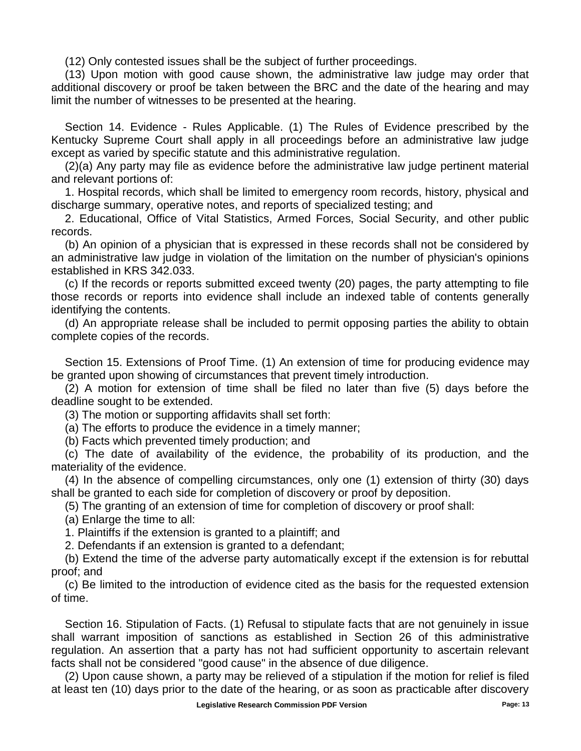(12) Only contested issues shall be the subject of further proceedings.

(13) Upon motion with good cause shown, the administrative law judge may order that additional discovery or proof be taken between the BRC and the date of the hearing and may limit the number of witnesses to be presented at the hearing.

Section 14. Evidence - Rules Applicable. (1) The Rules of Evidence prescribed by the Kentucky Supreme Court shall apply in all proceedings before an administrative law judge except as varied by specific statute and this administrative regulation.

(2)(a) Any party may file as evidence before the administrative law judge pertinent material and relevant portions of:

1. Hospital records, which shall be limited to emergency room records, history, physical and discharge summary, operative notes, and reports of specialized testing; and

2. Educational, Office of Vital Statistics, Armed Forces, Social Security, and other public records.

(b) An opinion of a physician that is expressed in these records shall not be considered by an administrative law judge in violation of the limitation on the number of physician's opinions established in KRS 342.033.

(c) If the records or reports submitted exceed twenty (20) pages, the party attempting to file those records or reports into evidence shall include an indexed table of contents generally identifying the contents.

(d) An appropriate release shall be included to permit opposing parties the ability to obtain complete copies of the records.

Section 15. Extensions of Proof Time. (1) An extension of time for producing evidence may be granted upon showing of circumstances that prevent timely introduction.

(2) A motion for extension of time shall be filed no later than five (5) days before the deadline sought to be extended.

(3) The motion or supporting affidavits shall set forth:

(a) The efforts to produce the evidence in a timely manner;

(b) Facts which prevented timely production; and

(c) The date of availability of the evidence, the probability of its production, and the materiality of the evidence.

(4) In the absence of compelling circumstances, only one (1) extension of thirty (30) days shall be granted to each side for completion of discovery or proof by deposition.

(5) The granting of an extension of time for completion of discovery or proof shall:

(a) Enlarge the time to all:

1. Plaintiffs if the extension is granted to a plaintiff; and

2. Defendants if an extension is granted to a defendant;

(b) Extend the time of the adverse party automatically except if the extension is for rebuttal proof; and

(c) Be limited to the introduction of evidence cited as the basis for the requested extension of time.

Section 16. Stipulation of Facts. (1) Refusal to stipulate facts that are not genuinely in issue shall warrant imposition of sanctions as established in Section 26 of this administrative regulation. An assertion that a party has not had sufficient opportunity to ascertain relevant facts shall not be considered "good cause" in the absence of due diligence.

(2) Upon cause shown, a party may be relieved of a stipulation if the motion for relief is filed at least ten (10) days prior to the date of the hearing, or as soon as practicable after discovery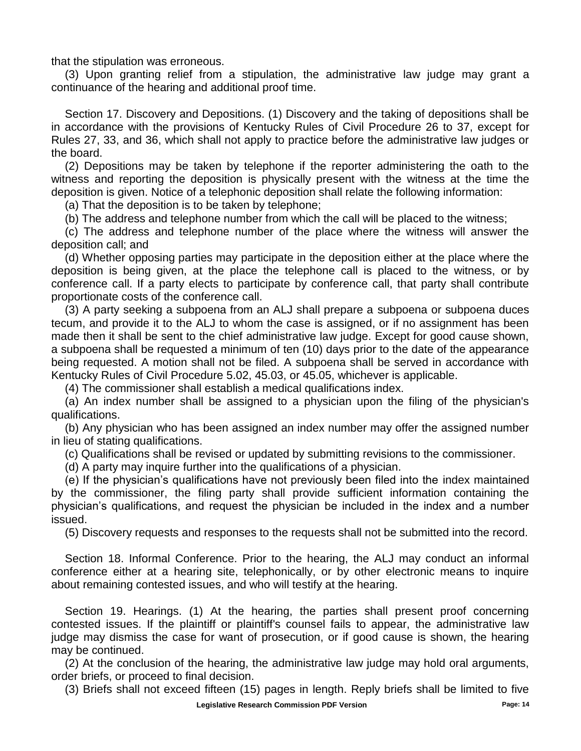that the stipulation was erroneous.

(3) Upon granting relief from a stipulation, the administrative law judge may grant a continuance of the hearing and additional proof time.

Section 17. Discovery and Depositions. (1) Discovery and the taking of depositions shall be in accordance with the provisions of Kentucky Rules of Civil Procedure 26 to 37, except for Rules 27, 33, and 36, which shall not apply to practice before the administrative law judges or the board.

(2) Depositions may be taken by telephone if the reporter administering the oath to the witness and reporting the deposition is physically present with the witness at the time the deposition is given. Notice of a telephonic deposition shall relate the following information:

(a) That the deposition is to be taken by telephone;

(b) The address and telephone number from which the call will be placed to the witness;

(c) The address and telephone number of the place where the witness will answer the deposition call; and

(d) Whether opposing parties may participate in the deposition either at the place where the deposition is being given, at the place the telephone call is placed to the witness, or by conference call. If a party elects to participate by conference call, that party shall contribute proportionate costs of the conference call.

(3) A party seeking a subpoena from an ALJ shall prepare a subpoena or subpoena duces tecum, and provide it to the ALJ to whom the case is assigned, or if no assignment has been made then it shall be sent to the chief administrative law judge. Except for good cause shown, a subpoena shall be requested a minimum of ten (10) days prior to the date of the appearance being requested. A motion shall not be filed. A subpoena shall be served in accordance with Kentucky Rules of Civil Procedure 5.02, 45.03, or 45.05, whichever is applicable.

(4) The commissioner shall establish a medical qualifications index.

(a) An index number shall be assigned to a physician upon the filing of the physician's qualifications.

(b) Any physician who has been assigned an index number may offer the assigned number in lieu of stating qualifications.

(c) Qualifications shall be revised or updated by submitting revisions to the commissioner.

(d) A party may inquire further into the qualifications of a physician.

(e) If the physician's qualifications have not previously been filed into the index maintained by the commissioner, the filing party shall provide sufficient information containing the physician's qualifications, and request the physician be included in the index and a number issued.

(5) Discovery requests and responses to the requests shall not be submitted into the record.

Section 18. Informal Conference. Prior to the hearing, the ALJ may conduct an informal conference either at a hearing site, telephonically, or by other electronic means to inquire about remaining contested issues, and who will testify at the hearing.

Section 19. Hearings. (1) At the hearing, the parties shall present proof concerning contested issues. If the plaintiff or plaintiff's counsel fails to appear, the administrative law judge may dismiss the case for want of prosecution, or if good cause is shown, the hearing may be continued.

(2) At the conclusion of the hearing, the administrative law judge may hold oral arguments, order briefs, or proceed to final decision.

(3) Briefs shall not exceed fifteen (15) pages in length. Reply briefs shall be limited to five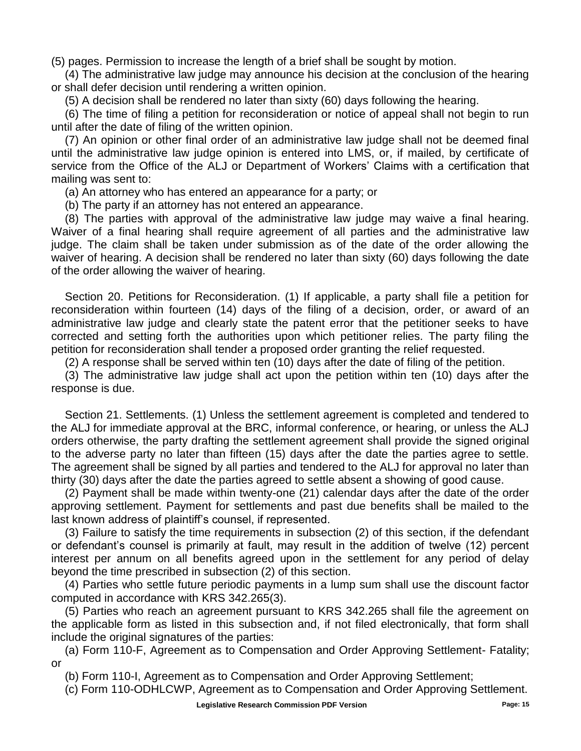(5) pages. Permission to increase the length of a brief shall be sought by motion.

(4) The administrative law judge may announce his decision at the conclusion of the hearing or shall defer decision until rendering a written opinion.

(5) A decision shall be rendered no later than sixty (60) days following the hearing.

(6) The time of filing a petition for reconsideration or notice of appeal shall not begin to run until after the date of filing of the written opinion.

(7) An opinion or other final order of an administrative law judge shall not be deemed final until the administrative law judge opinion is entered into LMS, or, if mailed, by certificate of service from the Office of the ALJ or Department of Workers' Claims with a certification that mailing was sent to:

(a) An attorney who has entered an appearance for a party; or

(b) The party if an attorney has not entered an appearance.

(8) The parties with approval of the administrative law judge may waive a final hearing. Waiver of a final hearing shall require agreement of all parties and the administrative law judge. The claim shall be taken under submission as of the date of the order allowing the waiver of hearing. A decision shall be rendered no later than sixty (60) days following the date of the order allowing the waiver of hearing.

Section 20. Petitions for Reconsideration. (1) If applicable, a party shall file a petition for reconsideration within fourteen (14) days of the filing of a decision, order, or award of an administrative law judge and clearly state the patent error that the petitioner seeks to have corrected and setting forth the authorities upon which petitioner relies. The party filing the petition for reconsideration shall tender a proposed order granting the relief requested.

(2) A response shall be served within ten (10) days after the date of filing of the petition.

(3) The administrative law judge shall act upon the petition within ten (10) days after the response is due.

Section 21. Settlements. (1) Unless the settlement agreement is completed and tendered to the ALJ for immediate approval at the BRC, informal conference, or hearing, or unless the ALJ orders otherwise, the party drafting the settlement agreement shall provide the signed original to the adverse party no later than fifteen (15) days after the date the parties agree to settle. The agreement shall be signed by all parties and tendered to the ALJ for approval no later than thirty (30) days after the date the parties agreed to settle absent a showing of good cause.

(2) Payment shall be made within twenty-one (21) calendar days after the date of the order approving settlement. Payment for settlements and past due benefits shall be mailed to the last known address of plaintiff's counsel, if represented.

(3) Failure to satisfy the time requirements in subsection (2) of this section, if the defendant or defendant's counsel is primarily at fault, may result in the addition of twelve (12) percent interest per annum on all benefits agreed upon in the settlement for any period of delay beyond the time prescribed in subsection (2) of this section.

(4) Parties who settle future periodic payments in a lump sum shall use the discount factor computed in accordance with KRS 342.265(3).

(5) Parties who reach an agreement pursuant to KRS 342.265 shall file the agreement on the applicable form as listed in this subsection and, if not filed electronically, that form shall include the original signatures of the parties:

(a) Form 110-F, Agreement as to Compensation and Order Approving Settlement- Fatality; or

(b) Form 110-I, Agreement as to Compensation and Order Approving Settlement;

(c) Form 110-ODHLCWP, Agreement as to Compensation and Order Approving Settlement.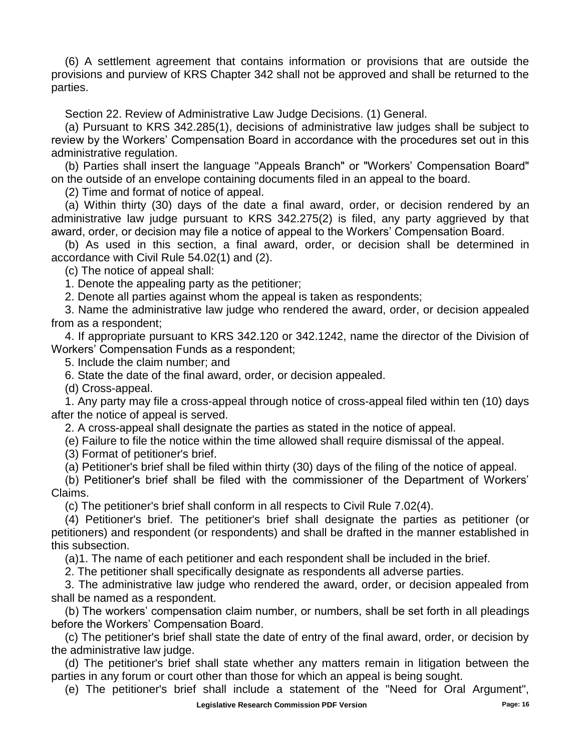(6) A settlement agreement that contains information or provisions that are outside the provisions and purview of KRS Chapter 342 shall not be approved and shall be returned to the parties.

Section 22. Review of Administrative Law Judge Decisions. (1) General.

(a) Pursuant to KRS 342.285(1), decisions of administrative law judges shall be subject to review by the Workers' Compensation Board in accordance with the procedures set out in this administrative regulation.

(b) Parties shall insert the language "Appeals Branch" or "Workers' Compensation Board" on the outside of an envelope containing documents filed in an appeal to the board.

(2) Time and format of notice of appeal.

(a) Within thirty (30) days of the date a final award, order, or decision rendered by an administrative law judge pursuant to KRS 342.275(2) is filed, any party aggrieved by that award, order, or decision may file a notice of appeal to the Workers' Compensation Board.

(b) As used in this section, a final award, order, or decision shall be determined in accordance with Civil Rule 54.02(1) and (2).

(c) The notice of appeal shall:

1. Denote the appealing party as the petitioner;

2. Denote all parties against whom the appeal is taken as respondents;

3. Name the administrative law judge who rendered the award, order, or decision appealed from as a respondent;

4. If appropriate pursuant to KRS 342.120 or 342.1242, name the director of the Division of Workers' Compensation Funds as a respondent;

5. Include the claim number; and

6. State the date of the final award, order, or decision appealed.

(d) Cross-appeal.

1. Any party may file a cross-appeal through notice of cross-appeal filed within ten (10) days after the notice of appeal is served.

2. A cross-appeal shall designate the parties as stated in the notice of appeal.

(e) Failure to file the notice within the time allowed shall require dismissal of the appeal.

(3) Format of petitioner's brief.

(a) Petitioner's brief shall be filed within thirty (30) days of the filing of the notice of appeal.

(b) Petitioner's brief shall be filed with the commissioner of the Department of Workers' Claims.

(c) The petitioner's brief shall conform in all respects to Civil Rule 7.02(4).

(4) Petitioner's brief. The petitioner's brief shall designate the parties as petitioner (or petitioners) and respondent (or respondents) and shall be drafted in the manner established in this subsection.

(a)1. The name of each petitioner and each respondent shall be included in the brief.

2. The petitioner shall specifically designate as respondents all adverse parties.

3. The administrative law judge who rendered the award, order, or decision appealed from shall be named as a respondent.

(b) The workers' compensation claim number, or numbers, shall be set forth in all pleadings before the Workers' Compensation Board.

(c) The petitioner's brief shall state the date of entry of the final award, order, or decision by the administrative law judge.

(d) The petitioner's brief shall state whether any matters remain in litigation between the parties in any forum or court other than those for which an appeal is being sought.

(e) The petitioner's brief shall include a statement of the "Need for Oral Argument",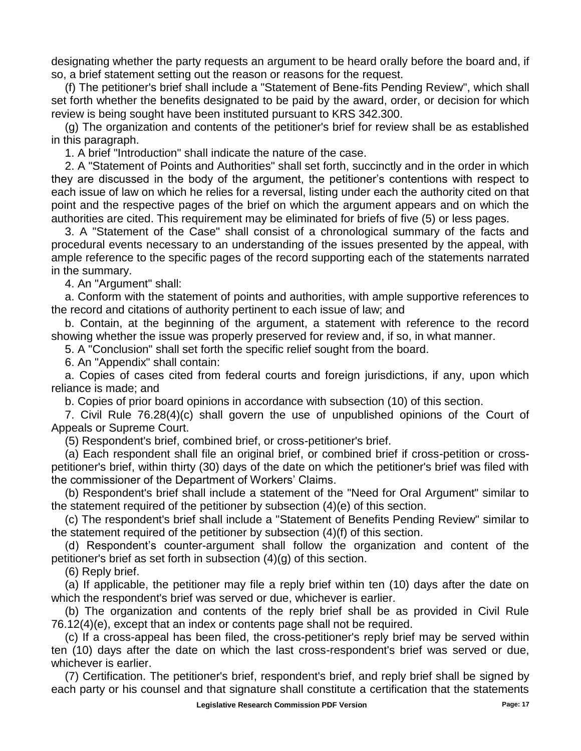designating whether the party requests an argument to be heard orally before the board and, if so, a brief statement setting out the reason or reasons for the request.

(f) The petitioner's brief shall include a "Statement of Bene-fits Pending Review", which shall set forth whether the benefits designated to be paid by the award, order, or decision for which review is being sought have been instituted pursuant to KRS 342.300.

(g) The organization and contents of the petitioner's brief for review shall be as established in this paragraph.

1. A brief "Introduction" shall indicate the nature of the case.

2. A "Statement of Points and Authorities" shall set forth, succinctly and in the order in which they are discussed in the body of the argument, the petitioner's contentions with respect to each issue of law on which he relies for a reversal, listing under each the authority cited on that point and the respective pages of the brief on which the argument appears and on which the authorities are cited. This requirement may be eliminated for briefs of five (5) or less pages.

3. A "Statement of the Case" shall consist of a chronological summary of the facts and procedural events necessary to an understanding of the issues presented by the appeal, with ample reference to the specific pages of the record supporting each of the statements narrated in the summary.

4. An "Argument" shall:

a. Conform with the statement of points and authorities, with ample supportive references to the record and citations of authority pertinent to each issue of law; and

b. Contain, at the beginning of the argument, a statement with reference to the record showing whether the issue was properly preserved for review and, if so, in what manner.

5. A "Conclusion" shall set forth the specific relief sought from the board.

6. An "Appendix" shall contain:

a. Copies of cases cited from federal courts and foreign jurisdictions, if any, upon which reliance is made; and

b. Copies of prior board opinions in accordance with subsection (10) of this section.

7. Civil Rule 76.28(4)(c) shall govern the use of unpublished opinions of the Court of Appeals or Supreme Court.

(5) Respondent's brief, combined brief, or cross-petitioner's brief.

(a) Each respondent shall file an original brief, or combined brief if cross-petition or crosspetitioner's brief, within thirty (30) days of the date on which the petitioner's brief was filed with the commissioner of the Department of Workers' Claims.

(b) Respondent's brief shall include a statement of the "Need for Oral Argument" similar to the statement required of the petitioner by subsection (4)(e) of this section.

(c) The respondent's brief shall include a "Statement of Benefits Pending Review" similar to the statement required of the petitioner by subsection (4)(f) of this section.

(d) Respondent's counter-argument shall follow the organization and content of the petitioner's brief as set forth in subsection (4)(g) of this section.

(6) Reply brief.

(a) If applicable, the petitioner may file a reply brief within ten (10) days after the date on which the respondent's brief was served or due, whichever is earlier.

(b) The organization and contents of the reply brief shall be as provided in Civil Rule 76.12(4)(e), except that an index or contents page shall not be required.

(c) If a cross-appeal has been filed, the cross-petitioner's reply brief may be served within ten (10) days after the date on which the last cross-respondent's brief was served or due, whichever is earlier.

(7) Certification. The petitioner's brief, respondent's brief, and reply brief shall be signed by each party or his counsel and that signature shall constitute a certification that the statements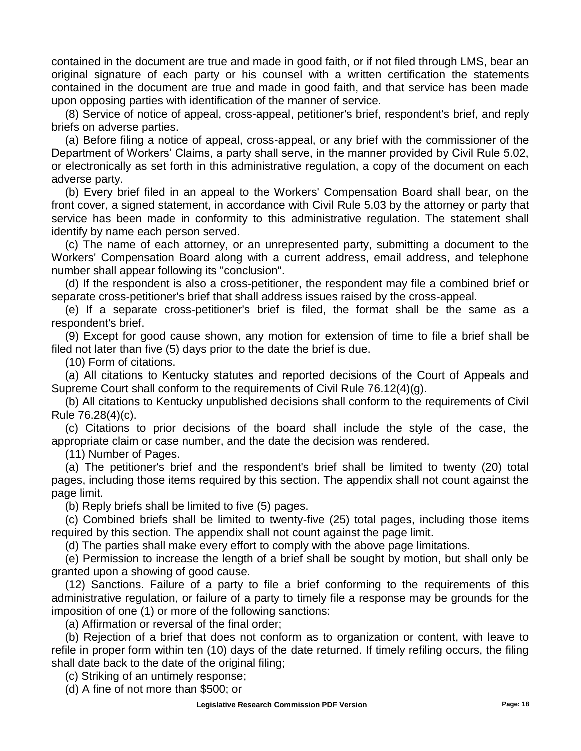contained in the document are true and made in good faith, or if not filed through LMS, bear an original signature of each party or his counsel with a written certification the statements contained in the document are true and made in good faith, and that service has been made upon opposing parties with identification of the manner of service.

(8) Service of notice of appeal, cross-appeal, petitioner's brief, respondent's brief, and reply briefs on adverse parties.

(a) Before filing a notice of appeal, cross-appeal, or any brief with the commissioner of the Department of Workers' Claims, a party shall serve, in the manner provided by Civil Rule 5.02, or electronically as set forth in this administrative regulation, a copy of the document on each adverse party.

(b) Every brief filed in an appeal to the Workers' Compensation Board shall bear, on the front cover, a signed statement, in accordance with Civil Rule 5.03 by the attorney or party that service has been made in conformity to this administrative regulation. The statement shall identify by name each person served.

(c) The name of each attorney, or an unrepresented party, submitting a document to the Workers' Compensation Board along with a current address, email address, and telephone number shall appear following its "conclusion".

(d) If the respondent is also a cross-petitioner, the respondent may file a combined brief or separate cross-petitioner's brief that shall address issues raised by the cross-appeal.

(e) If a separate cross-petitioner's brief is filed, the format shall be the same as a respondent's brief.

(9) Except for good cause shown, any motion for extension of time to file a brief shall be filed not later than five (5) days prior to the date the brief is due.

(10) Form of citations.

(a) All citations to Kentucky statutes and reported decisions of the Court of Appeals and Supreme Court shall conform to the requirements of Civil Rule 76.12(4)(g).

(b) All citations to Kentucky unpublished decisions shall conform to the requirements of Civil Rule 76.28(4)(c).

(c) Citations to prior decisions of the board shall include the style of the case, the appropriate claim or case number, and the date the decision was rendered.

(11) Number of Pages.

(a) The petitioner's brief and the respondent's brief shall be limited to twenty (20) total pages, including those items required by this section. The appendix shall not count against the page limit.

(b) Reply briefs shall be limited to five (5) pages.

(c) Combined briefs shall be limited to twenty-five (25) total pages, including those items required by this section. The appendix shall not count against the page limit.

(d) The parties shall make every effort to comply with the above page limitations.

(e) Permission to increase the length of a brief shall be sought by motion, but shall only be granted upon a showing of good cause.

(12) Sanctions. Failure of a party to file a brief conforming to the requirements of this administrative regulation, or failure of a party to timely file a response may be grounds for the imposition of one (1) or more of the following sanctions:

(a) Affirmation or reversal of the final order;

(b) Rejection of a brief that does not conform as to organization or content, with leave to refile in proper form within ten (10) days of the date returned. If timely refiling occurs, the filing shall date back to the date of the original filing;

(c) Striking of an untimely response;

(d) A fine of not more than \$500; or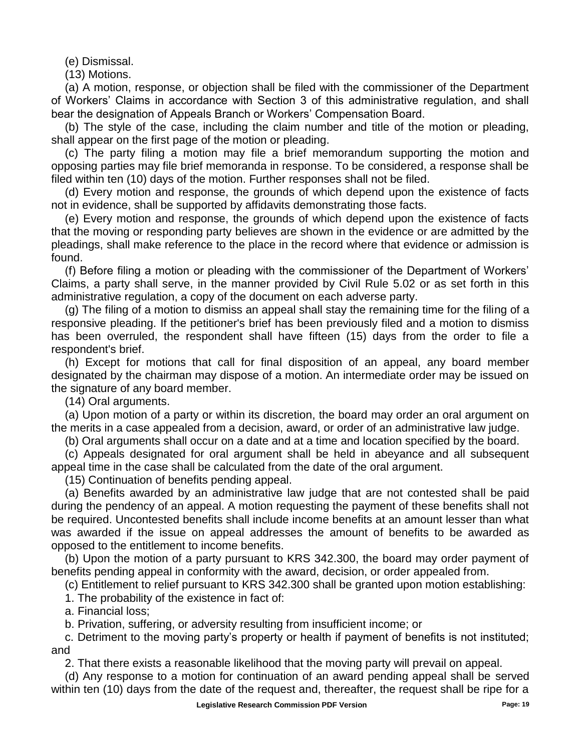(e) Dismissal.

(13) Motions.

(a) A motion, response, or objection shall be filed with the commissioner of the Department of Workers' Claims in accordance with Section 3 of this administrative regulation, and shall bear the designation of Appeals Branch or Workers' Compensation Board.

(b) The style of the case, including the claim number and title of the motion or pleading, shall appear on the first page of the motion or pleading.

(c) The party filing a motion may file a brief memorandum supporting the motion and opposing parties may file brief memoranda in response. To be considered, a response shall be filed within ten (10) days of the motion. Further responses shall not be filed.

(d) Every motion and response, the grounds of which depend upon the existence of facts not in evidence, shall be supported by affidavits demonstrating those facts.

(e) Every motion and response, the grounds of which depend upon the existence of facts that the moving or responding party believes are shown in the evidence or are admitted by the pleadings, shall make reference to the place in the record where that evidence or admission is found.

(f) Before filing a motion or pleading with the commissioner of the Department of Workers' Claims, a party shall serve, in the manner provided by Civil Rule 5.02 or as set forth in this administrative regulation, a copy of the document on each adverse party.

(g) The filing of a motion to dismiss an appeal shall stay the remaining time for the filing of a responsive pleading. If the petitioner's brief has been previously filed and a motion to dismiss has been overruled, the respondent shall have fifteen (15) days from the order to file a respondent's brief.

(h) Except for motions that call for final disposition of an appeal, any board member designated by the chairman may dispose of a motion. An intermediate order may be issued on the signature of any board member.

(14) Oral arguments.

(a) Upon motion of a party or within its discretion, the board may order an oral argument on the merits in a case appealed from a decision, award, or order of an administrative law judge.

(b) Oral arguments shall occur on a date and at a time and location specified by the board.

(c) Appeals designated for oral argument shall be held in abeyance and all subsequent appeal time in the case shall be calculated from the date of the oral argument.

(15) Continuation of benefits pending appeal.

(a) Benefits awarded by an administrative law judge that are not contested shall be paid during the pendency of an appeal. A motion requesting the payment of these benefits shall not be required. Uncontested benefits shall include income benefits at an amount lesser than what was awarded if the issue on appeal addresses the amount of benefits to be awarded as opposed to the entitlement to income benefits.

(b) Upon the motion of a party pursuant to KRS 342.300, the board may order payment of benefits pending appeal in conformity with the award, decision, or order appealed from.

(c) Entitlement to relief pursuant to KRS 342.300 shall be granted upon motion establishing:

1. The probability of the existence in fact of:

a. Financial loss;

b. Privation, suffering, or adversity resulting from insufficient income; or

c. Detriment to the moving party's property or health if payment of benefits is not instituted; and

2. That there exists a reasonable likelihood that the moving party will prevail on appeal.

(d) Any response to a motion for continuation of an award pending appeal shall be served within ten (10) days from the date of the request and, thereafter, the request shall be ripe for a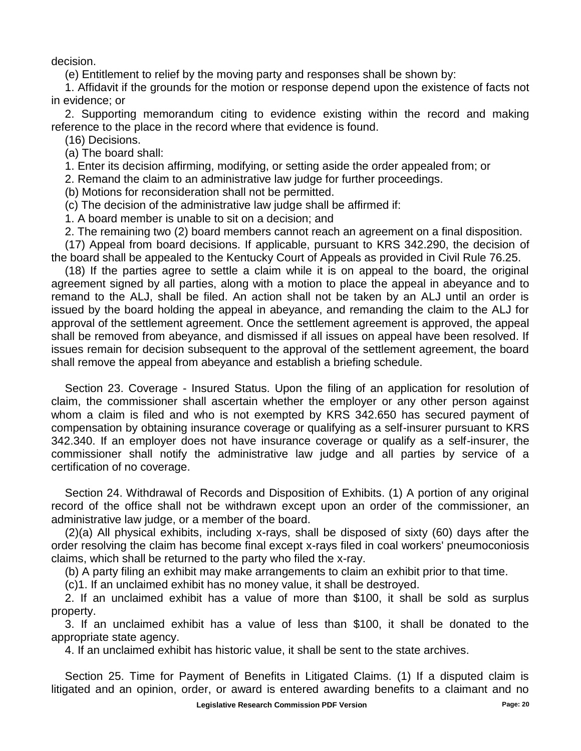decision.

(e) Entitlement to relief by the moving party and responses shall be shown by:

1. Affidavit if the grounds for the motion or response depend upon the existence of facts not in evidence; or

2. Supporting memorandum citing to evidence existing within the record and making reference to the place in the record where that evidence is found.

(16) Decisions.

(a) The board shall:

1. Enter its decision affirming, modifying, or setting aside the order appealed from; or

2. Remand the claim to an administrative law judge for further proceedings.

(b) Motions for reconsideration shall not be permitted.

(c) The decision of the administrative law judge shall be affirmed if:

1. A board member is unable to sit on a decision; and

2. The remaining two (2) board members cannot reach an agreement on a final disposition.

(17) Appeal from board decisions. If applicable, pursuant to KRS 342.290, the decision of the board shall be appealed to the Kentucky Court of Appeals as provided in Civil Rule 76.25.

(18) If the parties agree to settle a claim while it is on appeal to the board, the original agreement signed by all parties, along with a motion to place the appeal in abeyance and to remand to the ALJ, shall be filed. An action shall not be taken by an ALJ until an order is issued by the board holding the appeal in abeyance, and remanding the claim to the ALJ for approval of the settlement agreement. Once the settlement agreement is approved, the appeal shall be removed from abeyance, and dismissed if all issues on appeal have been resolved. If issues remain for decision subsequent to the approval of the settlement agreement, the board shall remove the appeal from abeyance and establish a briefing schedule.

Section 23. Coverage - Insured Status. Upon the filing of an application for resolution of claim, the commissioner shall ascertain whether the employer or any other person against whom a claim is filed and who is not exempted by KRS 342.650 has secured payment of compensation by obtaining insurance coverage or qualifying as a self-insurer pursuant to KRS 342.340. If an employer does not have insurance coverage or qualify as a self-insurer, the commissioner shall notify the administrative law judge and all parties by service of a certification of no coverage.

Section 24. Withdrawal of Records and Disposition of Exhibits. (1) A portion of any original record of the office shall not be withdrawn except upon an order of the commissioner, an administrative law judge, or a member of the board.

(2)(a) All physical exhibits, including x-rays, shall be disposed of sixty (60) days after the order resolving the claim has become final except x-rays filed in coal workers' pneumoconiosis claims, which shall be returned to the party who filed the x-ray.

(b) A party filing an exhibit may make arrangements to claim an exhibit prior to that time.

(c)1. If an unclaimed exhibit has no money value, it shall be destroyed.

2. If an unclaimed exhibit has a value of more than \$100, it shall be sold as surplus property.

3. If an unclaimed exhibit has a value of less than \$100, it shall be donated to the appropriate state agency.

4. If an unclaimed exhibit has historic value, it shall be sent to the state archives.

Section 25. Time for Payment of Benefits in Litigated Claims. (1) If a disputed claim is litigated and an opinion, order, or award is entered awarding benefits to a claimant and no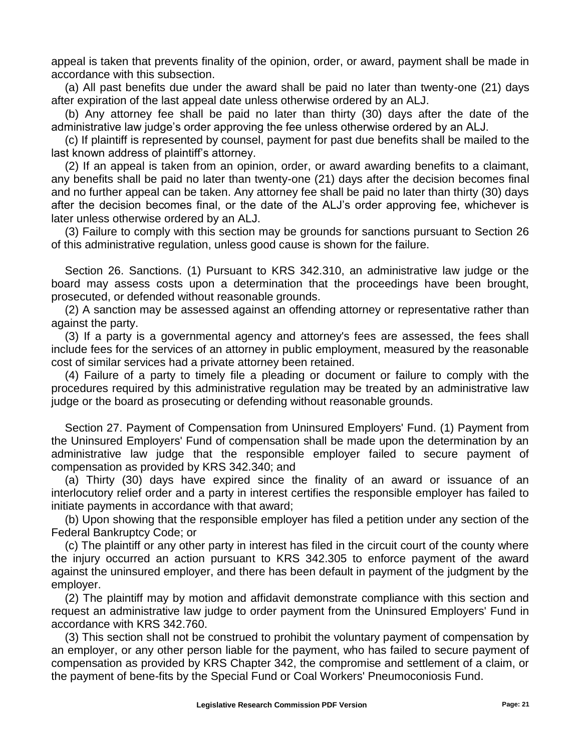appeal is taken that prevents finality of the opinion, order, or award, payment shall be made in accordance with this subsection.

(a) All past benefits due under the award shall be paid no later than twenty-one (21) days after expiration of the last appeal date unless otherwise ordered by an ALJ.

(b) Any attorney fee shall be paid no later than thirty (30) days after the date of the administrative law judge's order approving the fee unless otherwise ordered by an ALJ.

(c) If plaintiff is represented by counsel, payment for past due benefits shall be mailed to the last known address of plaintiff's attorney.

(2) If an appeal is taken from an opinion, order, or award awarding benefits to a claimant, any benefits shall be paid no later than twenty-one (21) days after the decision becomes final and no further appeal can be taken. Any attorney fee shall be paid no later than thirty (30) days after the decision becomes final, or the date of the ALJ's order approving fee, whichever is later unless otherwise ordered by an ALJ.

(3) Failure to comply with this section may be grounds for sanctions pursuant to Section 26 of this administrative regulation, unless good cause is shown for the failure.

Section 26. Sanctions. (1) Pursuant to KRS 342.310, an administrative law judge or the board may assess costs upon a determination that the proceedings have been brought, prosecuted, or defended without reasonable grounds.

(2) A sanction may be assessed against an offending attorney or representative rather than against the party.

(3) If a party is a governmental agency and attorney's fees are assessed, the fees shall include fees for the services of an attorney in public employment, measured by the reasonable cost of similar services had a private attorney been retained.

(4) Failure of a party to timely file a pleading or document or failure to comply with the procedures required by this administrative regulation may be treated by an administrative law judge or the board as prosecuting or defending without reasonable grounds.

Section 27. Payment of Compensation from Uninsured Employers' Fund. (1) Payment from the Uninsured Employers' Fund of compensation shall be made upon the determination by an administrative law judge that the responsible employer failed to secure payment of compensation as provided by KRS 342.340; and

(a) Thirty (30) days have expired since the finality of an award or issuance of an interlocutory relief order and a party in interest certifies the responsible employer has failed to initiate payments in accordance with that award;

(b) Upon showing that the responsible employer has filed a petition under any section of the Federal Bankruptcy Code; or

(c) The plaintiff or any other party in interest has filed in the circuit court of the county where the injury occurred an action pursuant to KRS 342.305 to enforce payment of the award against the uninsured employer, and there has been default in payment of the judgment by the employer.

(2) The plaintiff may by motion and affidavit demonstrate compliance with this section and request an administrative law judge to order payment from the Uninsured Employers' Fund in accordance with KRS 342.760.

(3) This section shall not be construed to prohibit the voluntary payment of compensation by an employer, or any other person liable for the payment, who has failed to secure payment of compensation as provided by KRS Chapter 342, the compromise and settlement of a claim, or the payment of bene-fits by the Special Fund or Coal Workers' Pneumoconiosis Fund.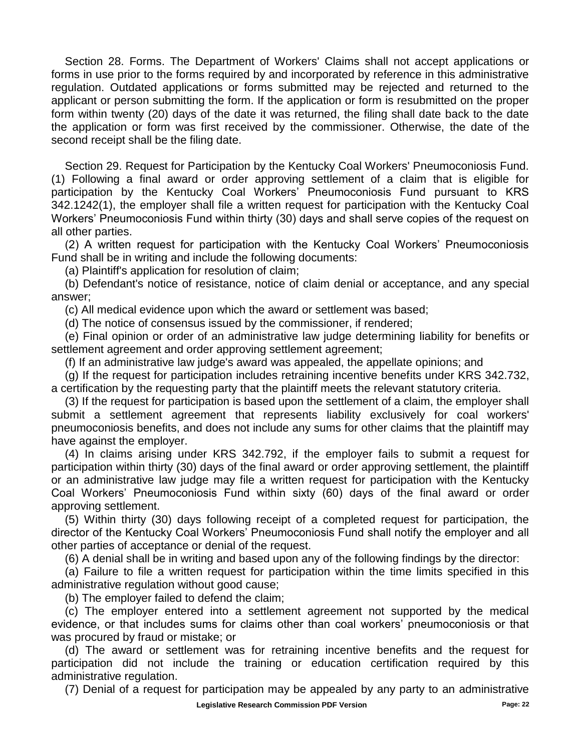Section 28. Forms. The Department of Workers' Claims shall not accept applications or forms in use prior to the forms required by and incorporated by reference in this administrative regulation. Outdated applications or forms submitted may be rejected and returned to the applicant or person submitting the form. If the application or form is resubmitted on the proper form within twenty (20) days of the date it was returned, the filing shall date back to the date the application or form was first received by the commissioner. Otherwise, the date of the second receipt shall be the filing date.

Section 29. Request for Participation by the Kentucky Coal Workers' Pneumoconiosis Fund. (1) Following a final award or order approving settlement of a claim that is eligible for participation by the Kentucky Coal Workers' Pneumoconiosis Fund pursuant to KRS 342.1242(1), the employer shall file a written request for participation with the Kentucky Coal Workers' Pneumoconiosis Fund within thirty (30) days and shall serve copies of the request on all other parties.

(2) A written request for participation with the Kentucky Coal Workers' Pneumoconiosis Fund shall be in writing and include the following documents:

(a) Plaintiff's application for resolution of claim;

(b) Defendant's notice of resistance, notice of claim denial or acceptance, and any special answer;

(c) All medical evidence upon which the award or settlement was based;

(d) The notice of consensus issued by the commissioner, if rendered;

(e) Final opinion or order of an administrative law judge determining liability for benefits or settlement agreement and order approving settlement agreement;

(f) If an administrative law judge's award was appealed, the appellate opinions; and

(g) If the request for participation includes retraining incentive benefits under KRS 342.732, a certification by the requesting party that the plaintiff meets the relevant statutory criteria.

(3) If the request for participation is based upon the settlement of a claim, the employer shall submit a settlement agreement that represents liability exclusively for coal workers' pneumoconiosis benefits, and does not include any sums for other claims that the plaintiff may have against the employer.

(4) In claims arising under KRS 342.792, if the employer fails to submit a request for participation within thirty (30) days of the final award or order approving settlement, the plaintiff or an administrative law judge may file a written request for participation with the Kentucky Coal Workers' Pneumoconiosis Fund within sixty (60) days of the final award or order approving settlement.

(5) Within thirty (30) days following receipt of a completed request for participation, the director of the Kentucky Coal Workers' Pneumoconiosis Fund shall notify the employer and all other parties of acceptance or denial of the request.

(6) A denial shall be in writing and based upon any of the following findings by the director:

(a) Failure to file a written request for participation within the time limits specified in this administrative regulation without good cause;

(b) The employer failed to defend the claim;

(c) The employer entered into a settlement agreement not supported by the medical evidence, or that includes sums for claims other than coal workers' pneumoconiosis or that was procured by fraud or mistake; or

(d) The award or settlement was for retraining incentive benefits and the request for participation did not include the training or education certification required by this administrative regulation.

(7) Denial of a request for participation may be appealed by any party to an administrative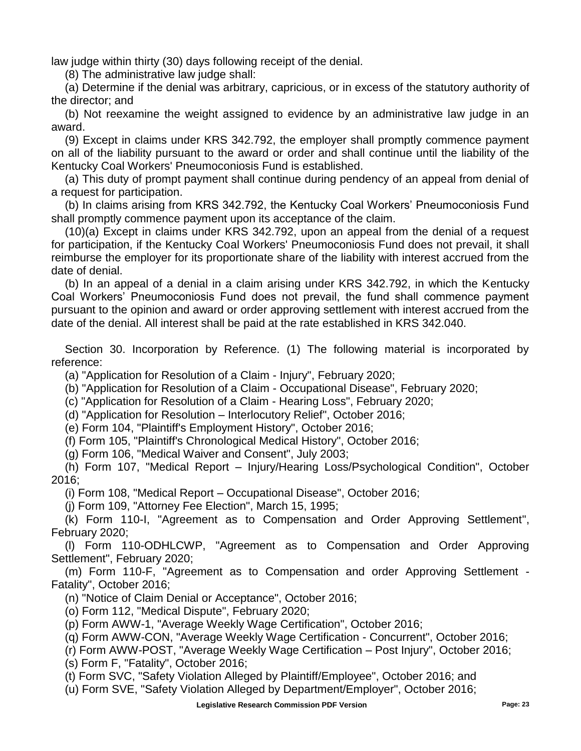law judge within thirty (30) days following receipt of the denial.

(8) The administrative law judge shall:

(a) Determine if the denial was arbitrary, capricious, or in excess of the statutory authority of the director; and

(b) Not reexamine the weight assigned to evidence by an administrative law judge in an award.

(9) Except in claims under KRS 342.792, the employer shall promptly commence payment on all of the liability pursuant to the award or order and shall continue until the liability of the Kentucky Coal Workers' Pneumoconiosis Fund is established.

(a) This duty of prompt payment shall continue during pendency of an appeal from denial of a request for participation.

(b) In claims arising from KRS 342.792, the Kentucky Coal Workers' Pneumoconiosis Fund shall promptly commence payment upon its acceptance of the claim.

(10)(a) Except in claims under KRS 342.792, upon an appeal from the denial of a request for participation, if the Kentucky Coal Workers' Pneumoconiosis Fund does not prevail, it shall reimburse the employer for its proportionate share of the liability with interest accrued from the date of denial.

(b) In an appeal of a denial in a claim arising under KRS 342.792, in which the Kentucky Coal Workers' Pneumoconiosis Fund does not prevail, the fund shall commence payment pursuant to the opinion and award or order approving settlement with interest accrued from the date of the denial. All interest shall be paid at the rate established in KRS 342.040.

Section 30. Incorporation by Reference. (1) The following material is incorporated by reference:

(a) "Application for Resolution of a Claim - Injury", February 2020;

(b) "Application for Resolution of a Claim - Occupational Disease", February 2020;

(c) "Application for Resolution of a Claim - Hearing Loss", February 2020;

(d) "Application for Resolution – Interlocutory Relief", October 2016;

(e) Form 104, "Plaintiff's Employment History", October 2016;

(f) Form 105, "Plaintiff's Chronological Medical History", October 2016;

(g) Form 106, "Medical Waiver and Consent", July 2003;

(h) Form 107, "Medical Report – Injury/Hearing Loss/Psychological Condition", October 2016;

(i) Form 108, "Medical Report – Occupational Disease", October 2016;

(j) Form 109, "Attorney Fee Election", March 15, 1995;

(k) Form 110-I, "Agreement as to Compensation and Order Approving Settlement", February 2020;

(l) Form 110-ODHLCWP, "Agreement as to Compensation and Order Approving Settlement", February 2020;

(m) Form 110-F, "Agreement as to Compensation and order Approving Settlement - Fatality", October 2016;

(n) "Notice of Claim Denial or Acceptance", October 2016;

(o) Form 112, "Medical Dispute", February 2020;

(p) Form AWW-1, "Average Weekly Wage Certification", October 2016;

(q) Form AWW-CON, "Average Weekly Wage Certification - Concurrent", October 2016;

(r) Form AWW-POST, "Average Weekly Wage Certification – Post Injury", October 2016;

(s) Form F, "Fatality", October 2016;

(t) Form SVC, "Safety Violation Alleged by Plaintiff/Employee", October 2016; and

(u) Form SVE, "Safety Violation Alleged by Department/Employer", October 2016;